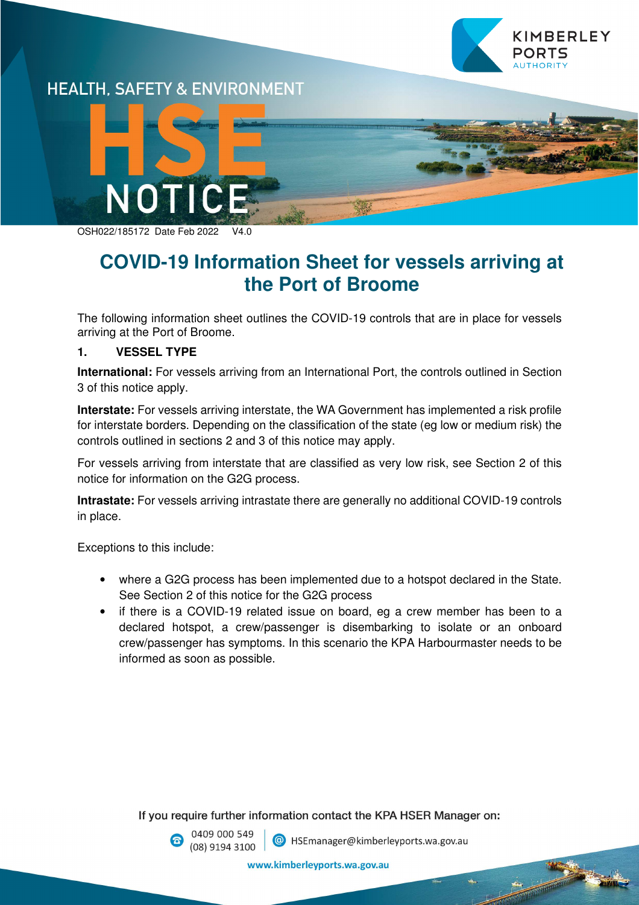



OSH022/185172 Date Feb 2022

# **COVID-19 Information Sheet for vessels arriving at the Port of Broome**

The following information sheet outlines the COVID-19 controls that are in place for vessels arriving at the Port of Broome.

### **1. VESSEL TYPE**

**International:** For vessels arriving from an International Port, the controls outlined in Section 3 of this notice apply.

**Interstate:** For vessels arriving interstate, the WA Government has implemented a risk profile for interstate borders. Depending on the classification of the state (eg low or medium risk) the controls outlined in sections 2 and 3 of this notice may apply.

For vessels arriving from interstate that are classified as very low risk, see Section 2 of this notice for information on the G2G process.

**Intrastate:** For vessels arriving intrastate there are generally no additional COVID-19 controls in place.

Exceptions to this include:

- where a G2G process has been implemented due to a hotspot declared in the State. See Section 2 of this notice for the G2G process
- if there is a COVID-19 related issue on board, eg a crew member has been to a declared hotspot, a crew/passenger is disembarking to isolate or an onboard crew/passenger has symptoms. In this scenario the KPA Harbourmaster needs to be informed as soon as possible.

If you require further information contact the KPA HSER Manager on:

0409 000 549 (08) 9194 3100

C HSEmanager@kimberleyports.wa.gov.au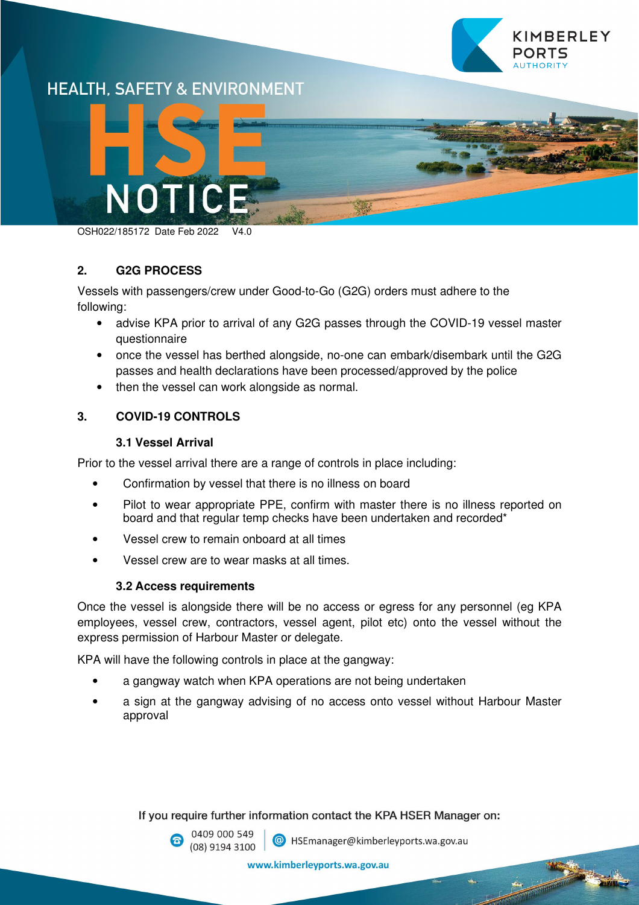

## **HEALTH. SAFETY & ENVIRONMENT**



OSH022/185172 Date Feb 2022 V4.0

#### **2. G2G PROCESS**

Vessels with passengers/crew under Good-to-Go (G2G) orders must adhere to the following:

- advise KPA prior to arrival of any G2G passes through the COVID-19 vessel master questionnaire
- once the vessel has berthed alongside, no-one can embark/disembark until the G2G passes and health declarations have been processed/approved by the police
- then the vessel can work alongside as normal.

### **3. COVID-19 CONTROLS**

#### **3.1 Vessel Arrival**

Prior to the vessel arrival there are a range of controls in place including:

- Confirmation by vessel that there is no illness on board
- Pilot to wear appropriate PPE, confirm with master there is no illness reported on board and that regular temp checks have been undertaken and recorded\*
- Vessel crew to remain onboard at all times
- Vessel crew are to wear masks at all times.

#### **3.2 Access requirements**

Once the vessel is alongside there will be no access or egress for any personnel (eg KPA employees, vessel crew, contractors, vessel agent, pilot etc) onto the vessel without the express permission of Harbour Master or delegate.

KPA will have the following controls in place at the gangway:

- a gangway watch when KPA operations are not being undertaken
- a sign at the gangway advising of no access onto vessel without Harbour Master approval

If you require further information contact the KPA HSER Manager on:



<sup>@</sup> HSEmanager@kimberleyports.wa.gov.au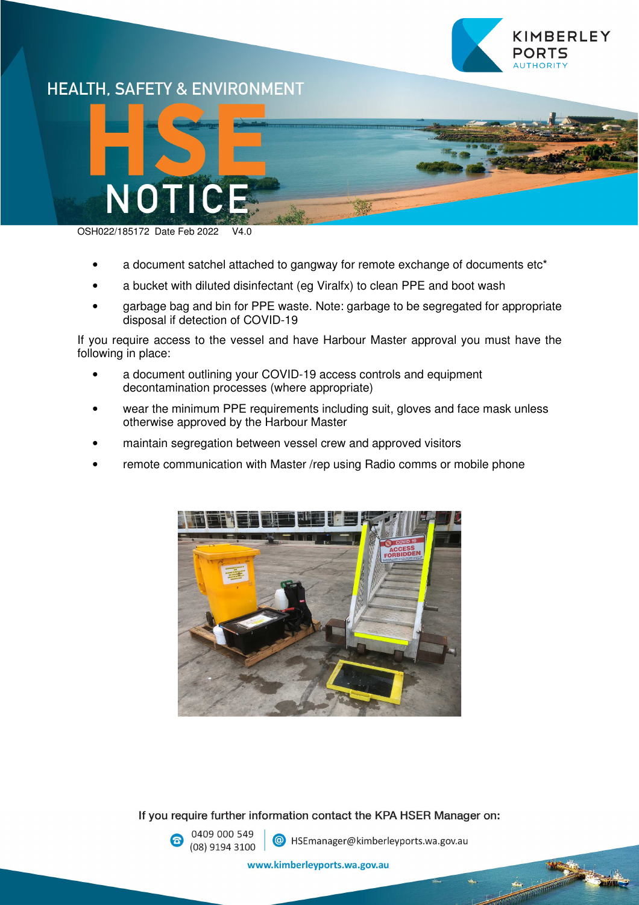

## **HEALTH. SAFETY & ENVIRONMENT**



OSH022/185172 Date Feb 2022 V4.0

- a document satchel attached to gangway for remote exchange of documents etc<sup>\*</sup>
- a bucket with diluted disinfectant (eg Viralfx) to clean PPE and boot wash
- garbage bag and bin for PPE waste. Note: garbage to be segregated for appropriate disposal if detection of COVID-19

If you require access to the vessel and have Harbour Master approval you must have the following in place:

- a document outlining your COVID-19 access controls and equipment decontamination processes (where appropriate)
- wear the minimum PPE requirements including suit, gloves and face mask unless otherwise approved by the Harbour Master
- maintain segregation between vessel crew and approved visitors
- remote communication with Master /rep using Radio comms or mobile phone



If you require further information contact the KPA HSER Manager on:

0409 000 549 (08) 9194 3100

<sup>@</sup> HSEmanager@kimberleyports.wa.gov.au